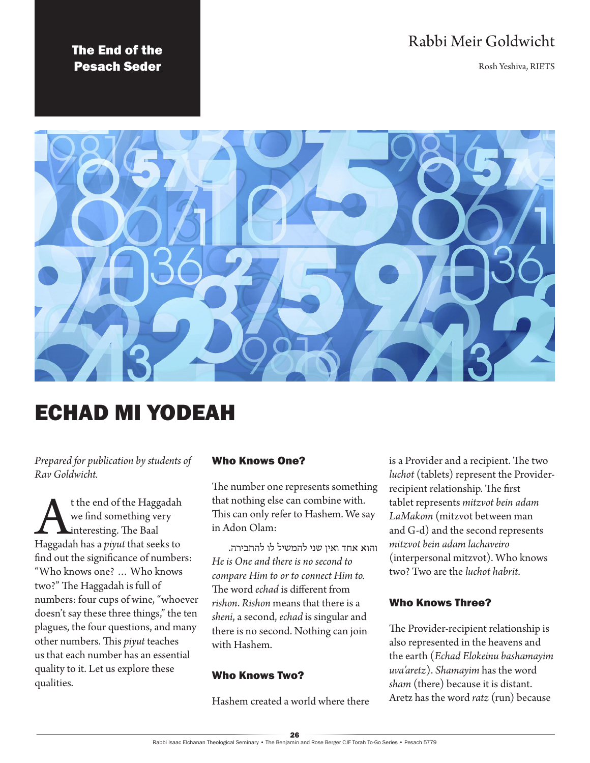# Rabbi Meir Goldwicht

Rosh Yeshiva, RIETS

# The End of the Pesach Seder



# ECHAD MI YODEAH

*Prepared for publication by students of Rav Goldwicht.*

**A** the end of the Haggadah<br>we find something very<br>Haggadah has a *piyut* that seeks to we find something very interesting. The Baal find out the significance of numbers: "Who knows one? … Who knows two?" The Haggadah is full of numbers: four cups of wine, "whoever doesn't say these three things," the ten plagues, the four questions, and many other numbers. This *piyut* teaches us that each number has an essential quality to it. Let us explore these qualities.

# Who Knows One?

The number one represents something that nothing else can combine with. This can only refer to Hashem. We say in Adon Olam:

והוא אחד ואין שני להמשיל לו להחבירה. *He is One and there is no second to compare Him to or to connect Him to.* The word *echad* is different from *rishon*. *Rishon* means that there is a *sheni*, a second, *echad* is singular and there is no second. Nothing can join with Hashem.

#### Who Knows Two?

Hashem created a world where there

is a Provider and a recipient. The two *luchot* (tablets) represent the Providerrecipient relationship. The first tablet represents *mitzvot bein adam LaMakom* (mitzvot between man and G-d) and the second represents *mitzvot bein adam lachaveiro* (interpersonal mitzvot). Who knows two? Two are the *luchot habrit*.

#### Who Knows Three?

The Provider-recipient relationship is also represented in the heavens and the earth (*Echad Elokeinu bashamayim uva'aretz*). *Shamayim* has the word *sham* (there) because it is distant. Aretz has the word *ratz* (run) because